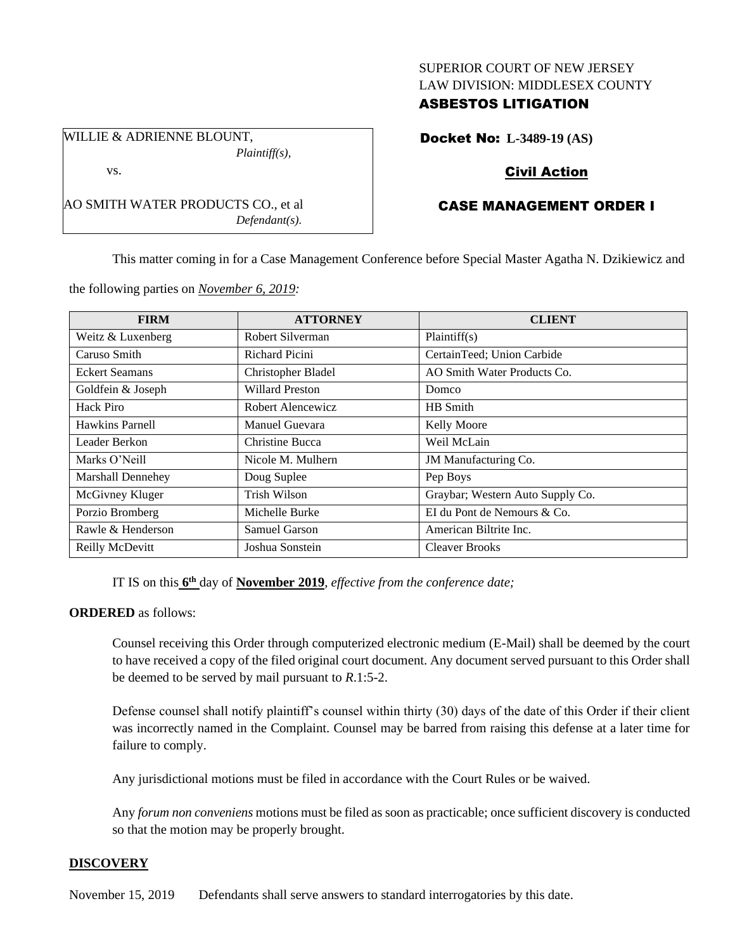### SUPERIOR COURT OF NEW JERSEY LAW DIVISION: MIDDLESEX COUNTY

## ASBESTOS LITIGATION

WILLIE & ADRIENNE BLOUNT, *Plaintiff(s),*

vs.

Docket No: **L-3489-19 (AS)**

# Civil Action

# CASE MANAGEMENT ORDER I

This matter coming in for a Case Management Conference before Special Master Agatha N. Dzikiewicz and

the following parties on *November 6, 2019:*

AO SMITH WATER PRODUCTS CO., et al

*Defendant(s).*

| <b>FIRM</b>              | <b>ATTORNEY</b>        | <b>CLIENT</b>                    |
|--------------------------|------------------------|----------------------------------|
| Weitz & Luxenberg        | Robert Silverman       | Plaintiff(s)                     |
| Caruso Smith             | Richard Picini         | CertainTeed; Union Carbide       |
| <b>Eckert Seamans</b>    | Christopher Bladel     | AO Smith Water Products Co.      |
| Goldfein & Joseph        | <b>Willard Preston</b> | Domco                            |
| Hack Piro                | Robert Alencewicz      | HB Smith                         |
| Hawkins Parnell          | Manuel Guevara         | Kelly Moore                      |
| Leader Berkon            | Christine Bucca        | Weil McLain                      |
| Marks O'Neill            | Nicole M. Mulhern      | JM Manufacturing Co.             |
| <b>Marshall Dennehey</b> | Doug Suplee            | Pep Boys                         |
| McGivney Kluger          | Trish Wilson           | Graybar; Western Auto Supply Co. |
| Porzio Bromberg          | Michelle Burke         | EI du Pont de Nemours & Co.      |
| Rawle & Henderson        | Samuel Garson          | American Biltrite Inc.           |
| Reilly McDevitt          | Joshua Sonstein        | <b>Cleaver Brooks</b>            |

IT IS on this  $6<sup>th</sup>$  day of **November 2019**, *effective from the conference date*;

## **ORDERED** as follows:

Counsel receiving this Order through computerized electronic medium (E-Mail) shall be deemed by the court to have received a copy of the filed original court document. Any document served pursuant to this Order shall be deemed to be served by mail pursuant to *R*.1:5-2.

Defense counsel shall notify plaintiff's counsel within thirty (30) days of the date of this Order if their client was incorrectly named in the Complaint. Counsel may be barred from raising this defense at a later time for failure to comply.

Any jurisdictional motions must be filed in accordance with the Court Rules or be waived.

Any *forum non conveniens* motions must be filed as soon as practicable; once sufficient discovery is conducted so that the motion may be properly brought.

## **DISCOVERY**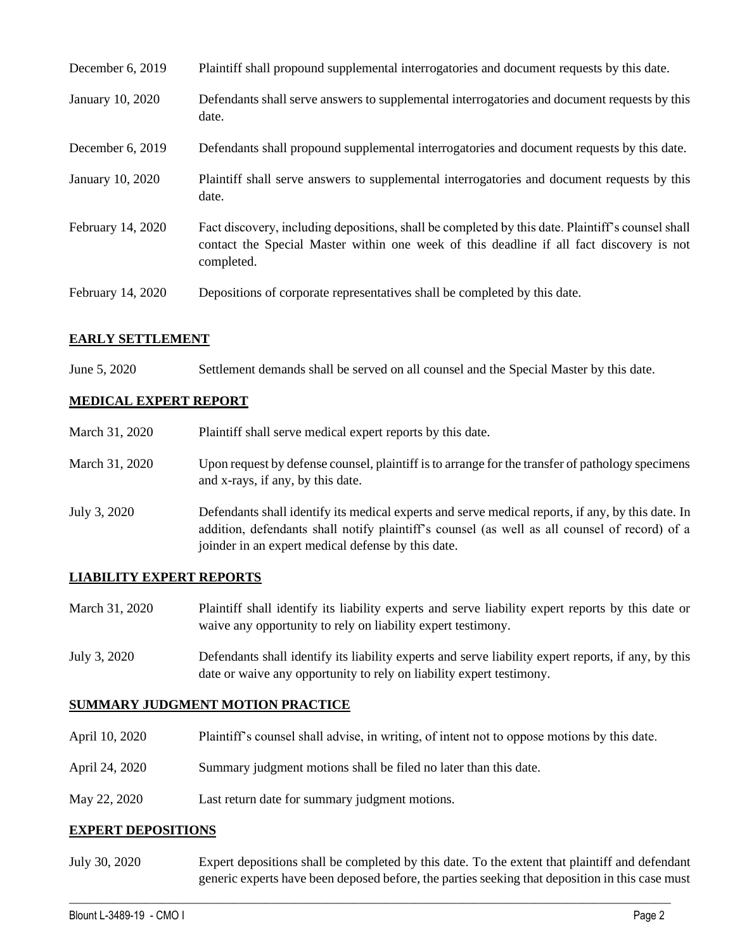| December 6, 2019  | Plaintiff shall propound supplemental interrogatories and document requests by this date.                                                                                                                   |
|-------------------|-------------------------------------------------------------------------------------------------------------------------------------------------------------------------------------------------------------|
| January 10, 2020  | Defendants shall serve answers to supplemental interrogatories and document requests by this<br>date.                                                                                                       |
| December 6, 2019  | Defendants shall propound supplemental interrogatories and document requests by this date.                                                                                                                  |
| January 10, 2020  | Plaintiff shall serve answers to supplemental interrogatories and document requests by this<br>date.                                                                                                        |
| February 14, 2020 | Fact discovery, including depositions, shall be completed by this date. Plaintiff's counsel shall<br>contact the Special Master within one week of this deadline if all fact discovery is not<br>completed. |
| February 14, 2020 | Depositions of corporate representatives shall be completed by this date.                                                                                                                                   |

#### **EARLY SETTLEMENT**

June 5, 2020 Settlement demands shall be served on all counsel and the Special Master by this date.

## **MEDICAL EXPERT REPORT**

| March 31, 2020 | Plaintiff shall serve medical expert reports by this date.                                                                                                                                                                                               |
|----------------|----------------------------------------------------------------------------------------------------------------------------------------------------------------------------------------------------------------------------------------------------------|
| March 31, 2020 | Upon request by defense counsel, plaintiff is to arrange for the transfer of pathology specimens<br>and x-rays, if any, by this date.                                                                                                                    |
| July 3, 2020   | Defendants shall identify its medical experts and serve medical reports, if any, by this date. In<br>addition, defendants shall notify plaintiff's counsel (as well as all counsel of record) of a<br>joinder in an expert medical defense by this date. |

## **LIABILITY EXPERT REPORTS**

- March 31, 2020 Plaintiff shall identify its liability experts and serve liability expert reports by this date or waive any opportunity to rely on liability expert testimony.
- July 3, 2020 Defendants shall identify its liability experts and serve liability expert reports, if any, by this date or waive any opportunity to rely on liability expert testimony.

#### **SUMMARY JUDGMENT MOTION PRACTICE**

- April 10, 2020 Plaintiff's counsel shall advise, in writing, of intent not to oppose motions by this date.
- April 24, 2020 Summary judgment motions shall be filed no later than this date.
- May 22, 2020 Last return date for summary judgment motions.

#### **EXPERT DEPOSITIONS**

July 30, 2020 Expert depositions shall be completed by this date. To the extent that plaintiff and defendant generic experts have been deposed before, the parties seeking that deposition in this case must

 $\_$  , and the set of the set of the set of the set of the set of the set of the set of the set of the set of the set of the set of the set of the set of the set of the set of the set of the set of the set of the set of th